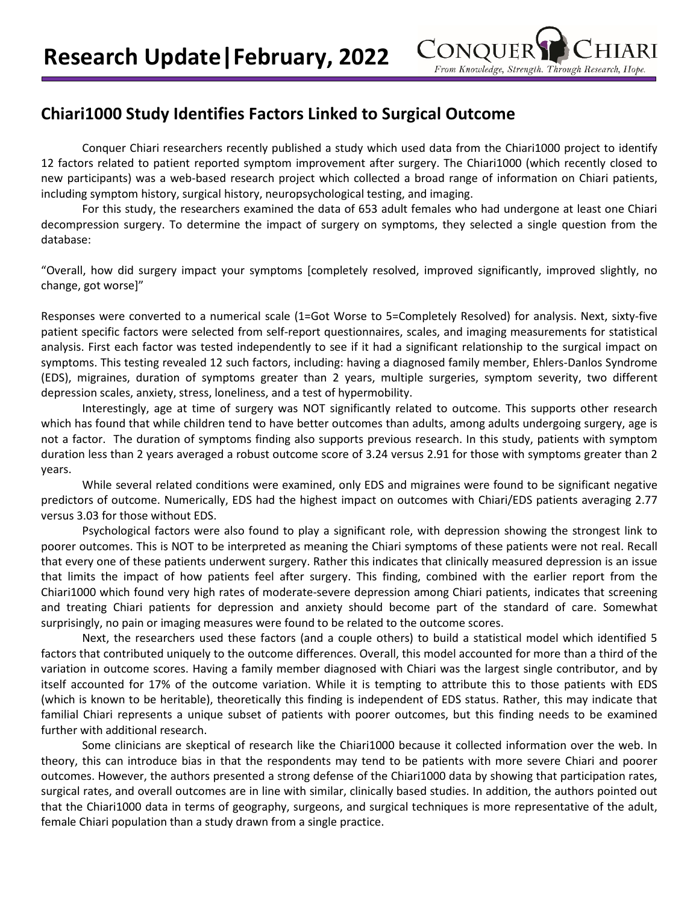## **Chiari1000 Study Identifies Factors Linked to Surgical Outcome**

Conquer Chiari researchers recently published a study which used data from the Chiari1000 project to identify 12 factors related to patient reported symptom improvement after surgery. The Chiari1000 (which recently closed to new participants) was a web-based research project which collected a broad range of information on Chiari patients, including symptom history, surgical history, neuropsychological testing, and imaging.

For this study, the researchers examined the data of 653 adult females who had undergone at least one Chiari decompression surgery. To determine the impact of surgery on symptoms, they selected a single question from the database:

"Overall, how did surgery impact your symptoms [completely resolved, improved significantly, improved slightly, no change, got worse]"

Responses were converted to a numerical scale (1=Got Worse to 5=Completely Resolved) for analysis. Next, sixty-five patient specific factors were selected from self-report questionnaires, scales, and imaging measurements for statistical analysis. First each factor was tested independently to see if it had a significant relationship to the surgical impact on symptoms. This testing revealed 12 such factors, including: having a diagnosed family member, Ehlers-Danlos Syndrome (EDS), migraines, duration of symptoms greater than 2 years, multiple surgeries, symptom severity, two different depression scales, anxiety, stress, loneliness, and a test of hypermobility.

Interestingly, age at time of surgery was NOT significantly related to outcome. This supports other research which has found that while children tend to have better outcomes than adults, among adults undergoing surgery, age is not a factor. The duration of symptoms finding also supports previous research. In this study, patients with symptom duration less than 2 years averaged a robust outcome score of 3.24 versus 2.91 for those with symptoms greater than 2 years.

While several related conditions were examined, only EDS and migraines were found to be significant negative predictors of outcome. Numerically, EDS had the highest impact on outcomes with Chiari/EDS patients averaging 2.77 versus 3.03 for those without EDS.

Psychological factors were also found to play a significant role, with depression showing the strongest link to poorer outcomes. This is NOT to be interpreted as meaning the Chiari symptoms of these patients were not real. Recall that every one of these patients underwent surgery. Rather this indicates that clinically measured depression is an issue that limits the impact of how patients feel after surgery. This finding, combined with the earlier report from the Chiari1000 which found very high rates of moderate-severe depression among Chiari patients, indicates that screening and treating Chiari patients for depression and anxiety should become part of the standard of care. Somewhat surprisingly, no pain or imaging measures were found to be related to the outcome scores.

Next, the researchers used these factors (and a couple others) to build a statistical model which identified 5 factors that contributed uniquely to the outcome differences. Overall, this model accounted for more than a third of the variation in outcome scores. Having a family member diagnosed with Chiari was the largest single contributor, and by itself accounted for 17% of the outcome variation. While it is tempting to attribute this to those patients with EDS (which is known to be heritable), theoretically this finding is independent of EDS status. Rather, this may indicate that familial Chiari represents a unique subset of patients with poorer outcomes, but this finding needs to be examined further with additional research.

Some clinicians are skeptical of research like the Chiari1000 because it collected information over the web. In theory, this can introduce bias in that the respondents may tend to be patients with more severe Chiari and poorer outcomes. However, the authors presented a strong defense of the Chiari1000 data by showing that participation rates, surgical rates, and overall outcomes are in line with similar, clinically based studies. In addition, the authors pointed out that the Chiari1000 data in terms of geography, surgeons, and surgical techniques is more representative of the adult, female Chiari population than a study drawn from a single practice.